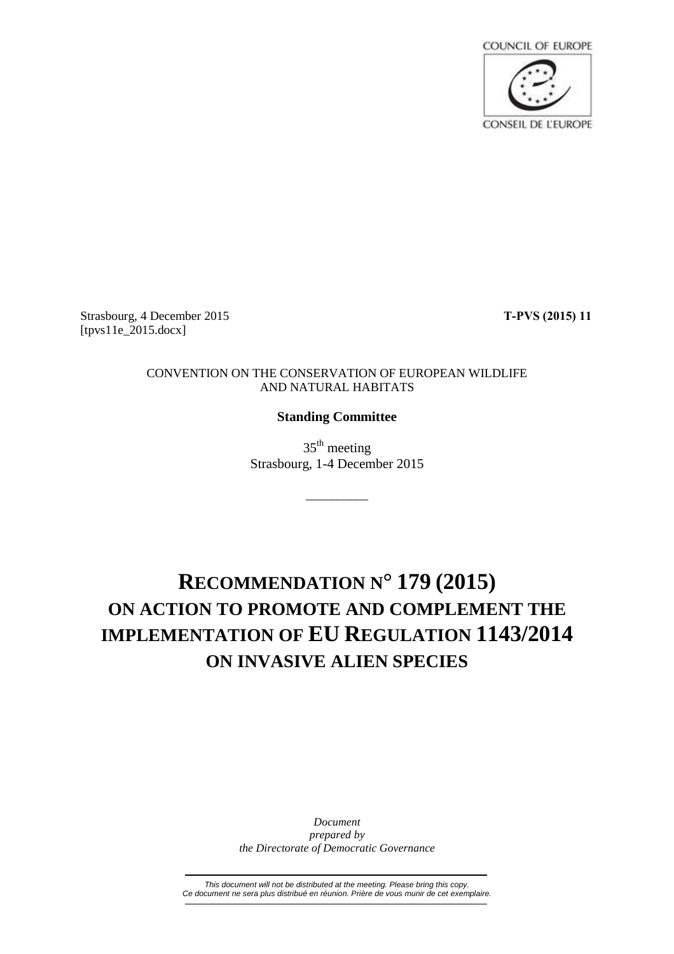

Strasbourg, 4 December 2015 **T-PVS (2015) 11** [tpvs11e\_2015.docx]

### CONVENTION ON THE CONSERVATION OF EUROPEAN WILDLIFE AND NATURAL HABITATS

## **Standing Committee**

 $35<sup>th</sup>$  meeting Strasbourg, 1-4 December 2015

\_\_\_\_\_\_\_\_\_\_

# **RECOMMENDATION N° 179 (2015) ON ACTION TO PROMOTE AND COMPLEMENT THE IMPLEMENTATION OF EU REGULATION 1143/2014 ON INVASIVE ALIEN SPECIES**

*Document prepared by the Directorate of Democratic Governance*

*This document will not be distributed at the meeting. Please bring this copy. Ce document ne sera plus distribué en réunion. Prière de vous munir de cet exemplaire.*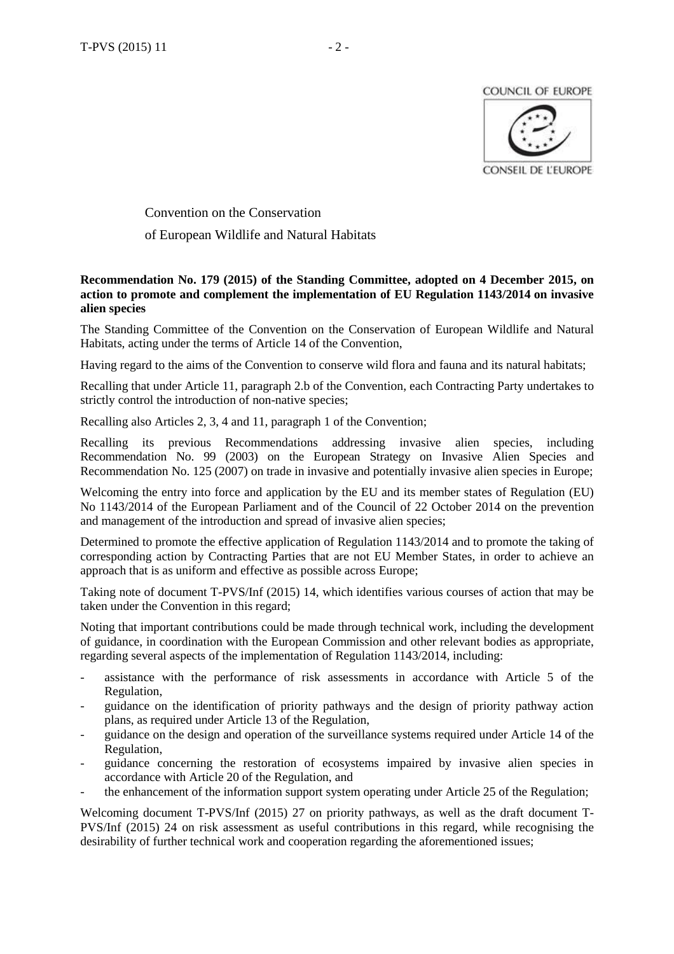**COUNCIL OF EUROPE** 



Convention on the Conservation of European Wildlife and Natural Habitats

### **Recommendation No. 179 (2015) of the Standing Committee, adopted on 4 December 2015, on action to promote and complement the implementation of EU Regulation 1143/2014 on invasive alien species**

The Standing Committee of the Convention on the Conservation of European Wildlife and Natural Habitats, acting under the terms of Article 14 of the Convention,

Having regard to the aims of the Convention to conserve wild flora and fauna and its natural habitats;

Recalling that under Article 11, paragraph 2.b of the Convention, each Contracting Party undertakes to strictly control the introduction of non-native species;

Recalling also Articles 2, 3, 4 and 11, paragraph 1 of the Convention;

Recalling its previous Recommendations addressing invasive alien species, including Recommendation No. 99 (2003) on the European Strategy on Invasive Alien Species and Recommendation No. 125 (2007) on trade in invasive and potentially invasive alien species in Europe;

Welcoming the entry into force and application by the EU and its member states of Regulation (EU) No 1143/2014 of the European Parliament and of the Council of 22 October 2014 on the prevention and management of the introduction and spread of invasive alien species;

Determined to promote the effective application of Regulation 1143/2014 and to promote the taking of corresponding action by Contracting Parties that are not EU Member States, in order to achieve an approach that is as uniform and effective as possible across Europe;

Taking note of document T-PVS/Inf (2015) 14, which identifies various courses of action that may be taken under the Convention in this regard;

Noting that important contributions could be made through technical work, including the development of guidance, in coordination with the European Commission and other relevant bodies as appropriate, regarding several aspects of the implementation of Regulation 1143/2014, including:

- assistance with the performance of risk assessments in accordance with Article 5 of the Regulation,
- guidance on the identification of priority pathways and the design of priority pathway action plans, as required under Article 13 of the Regulation,
- guidance on the design and operation of the surveillance systems required under Article 14 of the Regulation,
- guidance concerning the restoration of ecosystems impaired by invasive alien species in accordance with Article 20 of the Regulation, and
- the enhancement of the information support system operating under Article 25 of the Regulation;

Welcoming document T-PVS/Inf (2015) 27 on priority pathways, as well as the draft document T-PVS/Inf (2015) 24 on risk assessment as useful contributions in this regard, while recognising the desirability of further technical work and cooperation regarding the aforementioned issues;